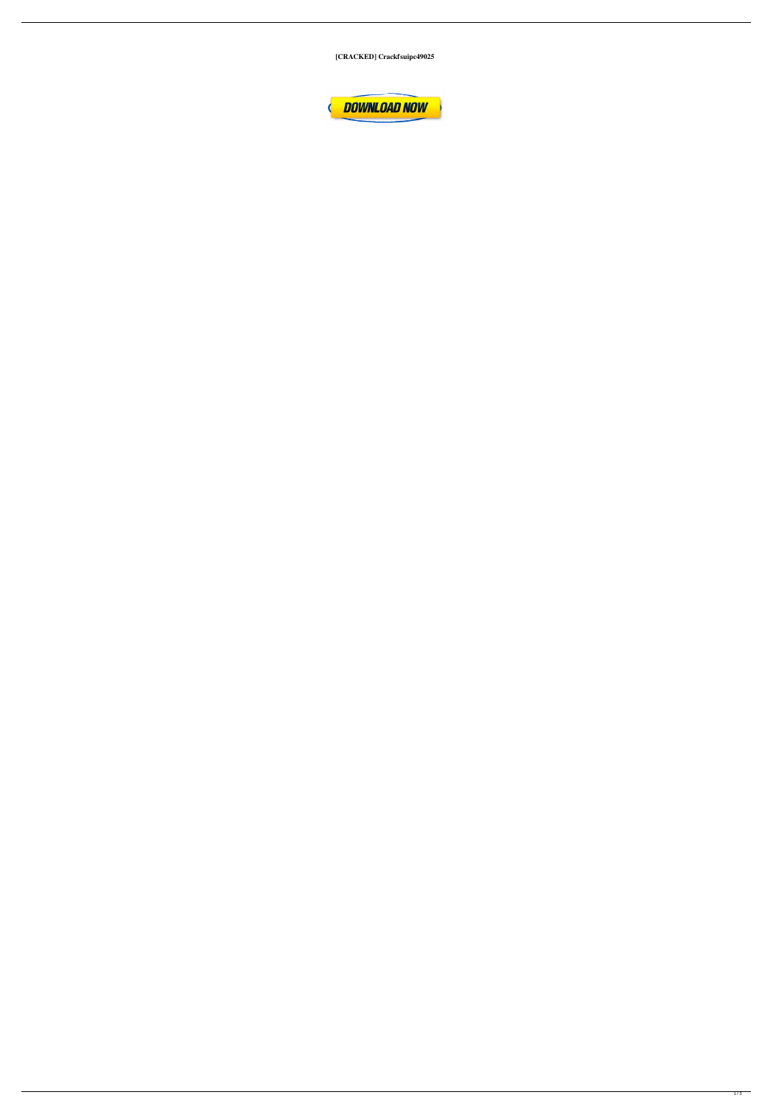[CRACKED] Crackfsuipc49025

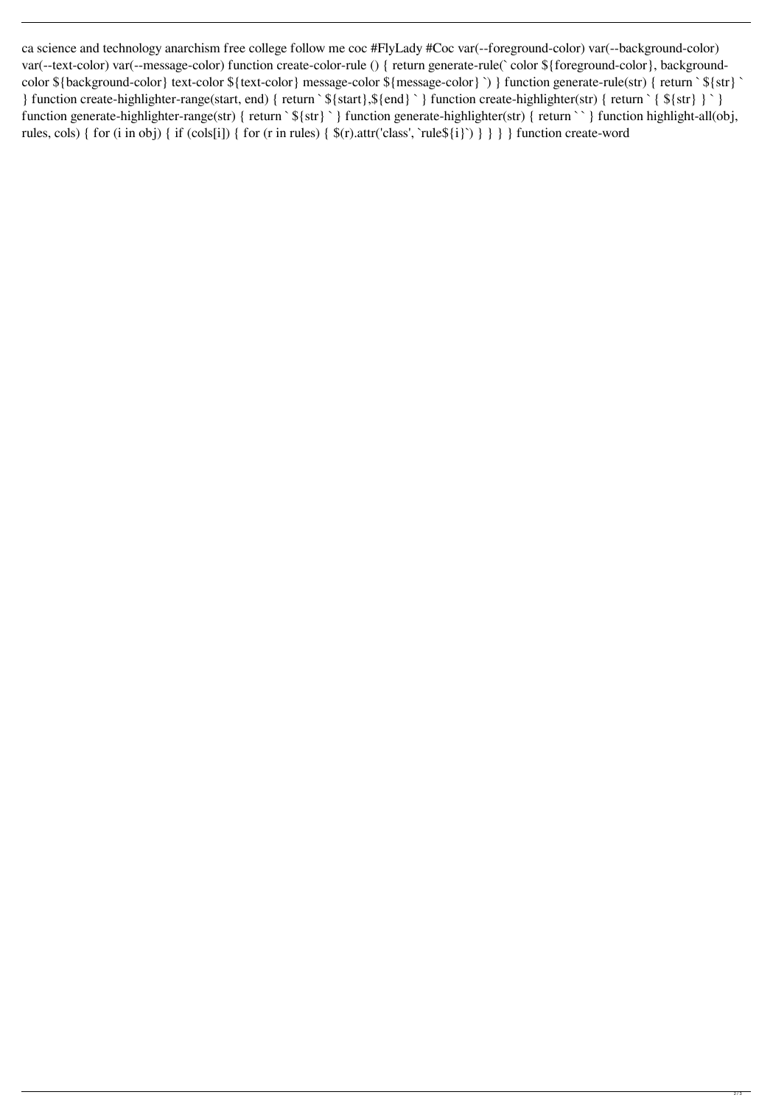ca science and technology anarchism free college follow me coc #FlyLady #Coc var(--foreground-color) var(--background-color) var(--text-color) var(--message-color) function create-color-rule () { return generate-rule(` color \${foreground-color}, backgroundcolor \${background-color} text-color \${text-color} message-color \${message-color} `) } function generate-rule(str) { return ` \${str} ` } function create-highlighter-range(start, end) { return ` \${start},\${end} ` } function create-highlighter(str) { return ` { \${str} } ` } function generate-highlighter-range(str) { return ` \${str} ` } function generate-highlighter(str) { return ` ` } function highlight-all(obj, rules, cols) { for (i in obj) { if (cols[i]) { for (r in rules) { \$(r).attr('class', `rule\${i}`) } } } } function create-word